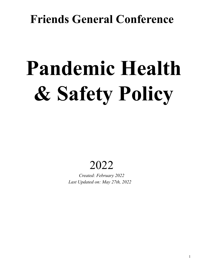## **Friends General Conference**

# **Pandemic Health & Safety Policy**

### 2022

*Created: February 2022 Last Updated on: May 27th, 2022*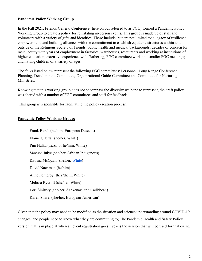#### **Pandemic Policy Working Group**

In the Fall 2021, Friends General Conference (here on out referred to as FGC) formed a Pandemic Policy Working Group to create a policy for reinstating in-person events. This group is made up of staff and volunteers with a variety of gifts and identities. These include, but are not limited to: a legacy of resilience, empowerment, and building alliances with the commitment to establish equitable structures within and outside of the Religious Society of Friends; public health and medical backgrounds; decades of concern for racial equity with years of employment in factories, warehouses, restaurants and working at institutions of higher education; extensive experience with Gathering, FGC committee work and smaller FGC meetings; and having children of a variety of ages.

The folks listed below represent the following FGC committees: Personnel, Long Range Conference Planning, Development Committee, Organizational Guide Committee and Committee for Nurturing Ministries.

Knowing that this working group does not encompass the diversity we hope to represent, the draft policy was shared with a number of FGC committees and staff for feedback.

This group is responsible for facilitating the policy creation process.

#### **Pandemic Policy Working Group:**

Frank Barch (he/him, European Descent) Elaine Giletta (she/her, White) Pim Halka (ze/zir or he/him, White) Vanessa Julye (she/her, African Indigenous) Katrina McQuail (she/her, White) David Nachman (he/him) Anne Pomeroy (they/them, White) Melissa Rycroft (she/her, White) Lori Sinitzky (she/her, Ashkenazi and Caribbean) Karen Snare, (she/her, European-American)

Given that the policy may need to be modified as the situation and science understanding around COVID-19 changes, and people need to know what they are committing to; The Pandemic Health and Safety Policy version that is in place at when an event registration goes live - is the version that will be used for that event.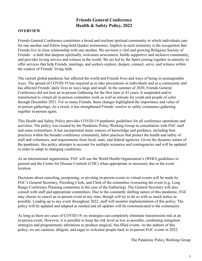#### **Friends General Conference Health & Safety Policy, 2022**

#### **OVERVIEW**

Friends General Conference constitutes a broad and resilient spiritual community in which individuals care for one another and follow long-held Quaker testimonies. Implicit in each testimony is the recognition that Friends live in close relationship with one another. We envision a vital and growing Religious Society of Friends—a faith that deepens spiritually, welcomes newcomers, builds supportive and inclusive community, and provides loving service and witness in the world. We are led by the Spirit joining together in ministry to offer services that help Friends, meetings, and seekers explore, deepen, connect, serve, and witness within the context of Friends' living faith.

The current global pandemic has affected the world and Friends lives and ways of being in unimaginable ways. The spread of COVID-19 has required us to take precautions as individuals and as a community and has affected Friends' daily lives in ways large and small. In the summer of 2020, Friends General Conference did not host an in-person Gathering for the first time in 43 years. It suspended and/or transitioned to virtual all in-person committee work as well as retreats for youth and people of color through December 2021. For so many Friends, these changes highlighted the importance and value of in-person gatherings. As a result, it has strengthened Friends' resolve to safely commence gathering together in-person again.

This Health and Safety Policy provides COVID-19 pandemic guidelines for all conference operations and activities. The policy was created by the Pandemic Policy Working Group in consultation with FGC staff and some committees. It has incorporated many sources of knowledge and guidance, including best practices within the broader conference community, labor practices that protect the health and safety of staff and volunteers, and requirements from local, state, and federal agencies. Given the dynamic nature of the pandemic, this policy attempts to account for multiple scenarios and contingencies and will be updated in order to adapt to changing conditions.

As an international organization, FGC will use the World Health Organization's (WHO) guidelines in general and the Center for Disease Controls (CDC) when appropriate or necessary due to the event location.

Decisions about canceling, postponing, or pivoting in-person events to virtual events will be made by FGC's General Secretary, Presiding Clerk, and Clerk of the committee overseeing the event (e.g. Long Range Conference Planning committee in the case of the Gathering). The General Secretary will also consult with staff and appropriate committees. Due to the constantly shifting nature of this pandemic, FGC may choose to cancel an in-person event at any time, though will try to do so with as much notice as possible. Leading up to any event throughout 2022, staff will monitor implementation of this policy. The policy will be updated and adapted as needed and all updates will be communicated to the community.

As long as there are cases of COVID-19, no strategies can completely eliminate transmission risk at an in-person event. However, it is possible to keep the risk level as low as possible, combining mitigation strategies and programmatic alterations to produce magical, fun-filled events. As the authors of this policy, we are cautious, diligent, and eager to welcome people back to in-person FGC events in 2022.

The Pandemic Policy Working Group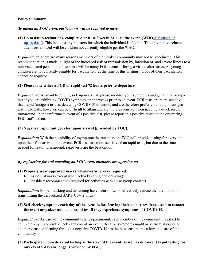#### **Policy Summary**

#### *To attend an FGC event, participants will be required to have:*

#### **(1) Up to date vaccinations, completed at least 2 weeks prior to the event. (WHO definition of up-to-date).** This includes any boosters for which the individual is eligible. The only non-vaccinated attendees allowed will be children not currently eligible per the WHO.

*Explanation*: There are many reasons members of the Quaker community may not be vaccinated. This recommendation is made in light of the increased risk of transmission by, infection of, and severe illness to a non-vaccinated person; and that there will be many FGC events offering a virtual alternative. As young children are not currently eligible for vaccination (at the time of this writing), proof of their vaccination cannot be required.

#### **(2) Please take either a PCR or rapid test 72 hours prior to departure.**

*Explanation*: To avoid becoming sick upon arrival, please monitor your symptoms and get a PCR or rapid test if you are exhibiting COVID symptoms in the weeks prior to an event. PCR tests are more sensitive than rapid (antigen) tests at detecting COVID-19 infection, and are therefore preferred to a rapid antigen test. PCR tests, however, can be difficult to attain and are more expensive when needing a quick result turnaround. In the unfortunate event of a positive test, please report this positive result to the organizing FGC staff person.

#### **(3) Negative rapid (antigen) test upon arrival (provided by FGC).**

*Explanation*: With the possibility of asymptomatic transmission, FGC will provide testing for everyone upon their first arrival at the event. PCR tests are more sensitive than rapid tests, but due to the time needed for result turn-around, rapid tests are the best option.

#### *By registering for and attending an FGC event, attendees are agreeing to:*

#### **(1) Properly wear approved masks whenever/wherever required:**

- $\bullet$  Inside = always (except when actively eating and drinking);
- Outside = recommended (required for activities with close group contact)

**Explanation:** Proper masking and distancing have been shown to effectively reduce the likelihood of transmitting the aerosolized SARS-CoV-2 virus.

#### **(2) Self-check symptoms each day of the event before leaving their on-site residence, and to contact the event organizer and get a rapid test if they experience symptoms of COVID-19.**

**Explanation:** As care of the community stands paramount, each member of the community is asked to complete a symptom self-check each day of an event. Because symptoms might arise from allergies or another virus, confirming through a negative COVID-19 test helps to ensure the safety and care of the community.

#### **(3) Participate in on-site rapid testing at the start of the event, as well as mid-event rapid testing for any event 5 days or longer (provided by FGC).**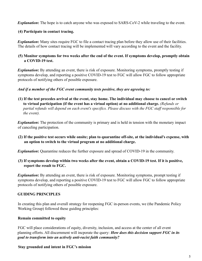*Explanation*: The hope is to catch anyone who was exposed to SARS-CoV-2 while traveling to the event.

#### **(4) Participate in contact tracing.**

*Explanation*: Many sites require FGC to file a contact tracing plan before they allow use of their facilities. The details of how contact tracing will be implemented will vary according to the event and the facility.

#### **(5) Monitor symptoms for two weeks after the end of the event. If symptoms develop, promptly obtain a COVID-19 test.**

**Explanation:** By attending an event, there is risk of exposure. Monitoring symptoms, promptly testing if symptoms develop, and reporting a positive COVID-19 test to FGC will allow FGC to follow appropriate protocols of notifying others of possible exposure.

*And if a member of the FGC event community tests positive, they are agreeing to:*

**(1) If the test precedes arrival at the event, stay home. The individual may choose to cancel or switch to virtual participation (if the event has a virtual option) at no additional charge.** *(Refunds or partial refunds will depend on each event's specifics. Please discuss with the FGC staff responsible for the event).*

*Explanation*: The protection of the community is primary and is held in tension with the monetary impact of canceling participation.

**(2) If the positive test occurs while onsite; plan to quarantine off-site, at the individual's expense, with an option to switch to the virtual program at no additional charge.**

*Explanation***:** Quarantine reduces the further exposure and spread of COVID-19 in the community.

**(3) If symptoms develop within two weeks after the event, obtain a COVID-19 test. If it is positive, report the result to FGC.**

*Explanation***:** By attending an event, there is risk of exposure. Monitoring symptoms, prompt testing if symptoms develop, and reporting a positive COVID-19 test to FGC will allow FGC to follow appropriate protocols of notifying others of possible exposure.

#### **GUIDING PRINCIPLES**

In creating this plan and overall strategy for reopening FGC in-person events, we (the Pandemic Policy Working Group) followed these guiding principles:

#### **Remain committed to equity**

FGC will place considerations of equity, diversity, inclusion, and access at the center of all event planning efforts. All discernment will incporate the query: *How does this decision support FGC in its goal to transform into an actively anti-racist faith community?*

#### **Stay grounded and intent in FGC's mission**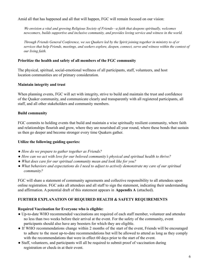Amid all that has happened and all that will happen, FGC will remain focused on our vision:

*We envision a vital and growing Religious Society of Friends—a faith that deepens spiritually, welcomes newcomers, builds supportive and inclusive community, and provides loving service and witness in the world.*

Through Friends General Conference, we see Ouakers led by the Spirit joining together in ministry to of er services that help Friends, meetings, and seekers explore, deepen, connect, serve and witness within the context of *our living faith.*

#### **Prioritize the health and safety of all members of the FGC community**

The physical, spiritual, social-emotional wellness of all participants, staff, volunteers, and host location communities are of primary consideration.

#### **Maintain integrity and trust**

When planning events, FGC will act with integrity, strive to build and maintain the trust and confidence of the Quaker community, and communicate clearly and transparently with all registered participants, all staff, and all other stakeholders and community members.

#### **Build community**

FGC commits to holding events that build and maintain a wise spiritually resilient community, where faith and relationships flourish and grow, where they are nourished all year round, where these bonds that sustain us then go deeper and become stronger every time Quakers gather.

#### **Utilize the following guiding queries:**

- *● How do we prepare to gather together as Friends?*
- *● How can we act with love for our beloved community's physical and spiritual health to thrive?*
- *● What does care for our spiritual community mean and look like for you?*
- *● What behaviors and expectations do I need to adjust to actively demonstrate my care of our spiritual community?*

FGC will share a statement of community agreements and collective responsibility to all attendees upon online registration. FGC asks all attendees and all staff to sign the statement, indicating their understanding and affirmation. A potential draft of this statement appears in **Appendix A** (attached).

#### **FURTHER EXPLANATION OF REQUIRED HEALTH & SAFETY REQUIREMENTS**

#### **Required Vaccination for Everyone who is eligible:**

- Up-to-date WHO recommended vaccinations are required of each staff member, volunteer and attendee no less than two weeks before their arrival at the event. For the safety of the community, event participants should also have any boosters for which they are eligible.
- If WHO recommendations change within 2 months of the start of the event, Friends will be encouraged to adhere to the most up-to-date recommendations but will be allowed to attend as long as they comply with the recommendations that were in effect 60 days prior to the start of the event.
- Staff, volunteers, and participants will all be required to submit proof of vaccination during registration or check-in at their event.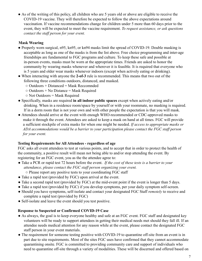● As of the writing of this policy, all children who are 5 years old or above are eligible to receive the COVID-19 vaccine. They will therefore be expected to follow the above expectations around vaccination. If vaccine recommendations change for children under 5 more than 60 days prior to the event, they will be expected to meet the vaccine requirement. *To request assistance, or ask questions contact the staff person for your event.*

#### **Mask Wearing**

- Properly worn surgical, n95, kn95, or kn94 masks limit the spread of COVID-19. Double masking is acceptable as long as one of the masks is from the list above. Free choice programming and inter-age friendships are fundamental to FGC programs and culture. To keep these safe and possible at in-person events, masks must be worn at the appropriate times. Friends are asked to honor the community by wearing masks whenever and wherever it is feasible. It is required that everyone who is 5 years and older wear masks whenever indoors (except when actively eating or drinking).
- When interacting with anyone the **2-of-3** rule is recommended. This means that two out of the following three conditions outdoors, distanced, and masked.
	- Outdoors + Distanced = Mask Reccomnded
	- $\circ$  Outdoors + No Distance = Mask Required
	- Not Outdoors = Mask Required
- Specifically, masks are required **in all indoor public spaces** except when actively eating and/or drinking. When in a residence room/space by yourself or with your roommate, no masking is required. If in a dorm room that is not your own and with other people the expectation is that you will mask.
- Attendees should arrive at the event with enough WHO-recommended or CDC-approved masks to make it through the event. Attendees are asked to keep a mask on hand at all times. FGC will provide a sufficient stockpile of extra masks for when one might be needed. *If access to appropriate masks or ADA accommodations would be a barrier to your participation please contact the FGC staff person for your event.*

#### **Testing Requirements for All Attendees - regardless of age**

FGC asks all event attendees to test at various points, and to accept that in order to protect the health of the community, a positive result will mean not being able to and/or stop attending the event. By registering for an FGC event, you as the the attendee agree to:

- Take a PCR or rapid test 72 hours before the event. *If the cost of these tests is a barrier to your attendance, please contact the FGC staff person organizing your event.*
	- Please report any positive tests to your coordinating FGC staff
- Take a rapid test (provided by FGC) upon arrival at the event.
- Take a second rapid test (provided by FGC) at the mid-event point if the event is longer than 5 days.
- Take a rapid test (provided by FGC) if you develop symptoms, per your daily symptom self-screen.
- Should you have symptoms, self-isolate and contact your designated FGC Staff *remotely* to receive and complete a rapid test (provided by FGC)
- Self-isolate and leave the event should you test positive.

#### **Response to Suspected or Confirmed COVID-19 Case**

- As always, the goal is to keep everyone healthy and safe at an FGC event. FGC staff and designated key volunteers will be ready to support attendees in getting their medical needs met should they fall ill. If an attendee needs medical attention for any reason while at the event, please contact the designated FGC staff person in your event materials.
- The requirement for someone testing positive with COVID-19 to quarantine off-site from an event is in part due to site requirements. Most of the sites FGC uses have confirmed that they cannot accommodate quarantining onsite. FGC is committed to providing community care and support of individuals who need to quarantine off-site through a variety of modalities. These will be discerned and offered based on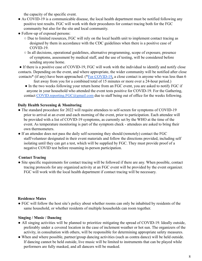the capacity of the specific event.

- As COVID-19 is a communicable disease, the local health department must be notified following any positive test results. FGC will work with their procedures for contact tracing both for the FGC community but also for the site and local community.
- Follow-up of exposed persons:
	- Due to limited resources, FGC will rely on the local health unit to implement contact tracing as designed by them in accordance with the CDC guidelines when there is a positive case of COVID-19.
	- In all decisions, operational guidelines, alternative programming, scope of exposure, presence of symptoms, assessment by medical staff, and the use of testing, will be considered before sending anyone home.

• If there is a positive case of COVID-19, FGC will work with the individual to identify and notify close contacts. Depending on the event, and where appropriate, the wider community will be notified after close contacts\* (if any) have been approached. (\*For COVID-19, a close contact is anyone who was less than 6

- feet away from you for a combined total of 15 minutes or more over a 24-hour period.)
- In the two weeks following your return home from an FGC event, you are asked to notify FGC if anyone in your household who attended the event tests positive for COVID-19. For the Gathering, contact COVID.reporting.FGC@gmail.com due to staff being out of office for the weeks following.

#### **Daily Health Screening & Monitoring**

- The standard procedure for 2022 will require attendees to self-screen for symptoms of COVID-19 prior to arrival at an event and each morning of the event, prior to participation. Each attendee will be provided with a list of COVID-19 symptoms, as currently set by the WHO at the time of the event. As temperature monitoring is part of the symptom check - attendees are asked to bring their own thermometers.
- If an attendee does not pass the daily self-screening they should (remotely) contact the FGC staff/volunteer designated in their event materials and follow the directions provided, including self isolating until they can get a test, which will be supplied by FGC. They must provide proof of a negative COVID test before resuming in-person participation.

#### **Contact Tracing**

• Site specific requirements for contact tracing will be followed if there are any. When possible, contact tracing protocols for any organized activity at an FGC event will be provided by the event organizer. FGC will work with the local health department if contact tracing will be necessary.

#### **Residence Mates**

● FGC will follow the host site's policy about whether rooms can only be inhabited by residents of the same household, or whether residents of multiple households can room together.

#### **Singing / Music / Dancing**

- All singing activities will be planned to prioritize mitigating the spread of COVID-19. Ideally outside, preferably under a covered location in the case of inclement weather or hot sun. The organizers of the activity, in consultation with others, will be responsible for determining appropriate safety measures.
- When and where possible, partner/group dancing activities (such as contra dance) will be held outside. If dancing cannot be held outside, live music will be limited to instruments that can be played while performers are fully masked, and all dancers will be masked.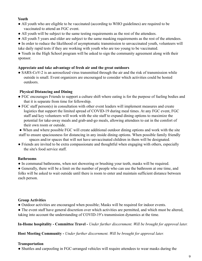#### **Youth**

- All youth who are eligible to be vaccinated (according to WHO guidelines) are required to be vaccinated to attend an FGC event.
- All youth will be subject to the same testing requirements as the rest of the attendees.
- All youth 5 years and older are subject to the same masking requirements as the rest of the attendees.
- In order to reduce the likelihood of asymptomatic transmission to unvaccinated youth, volunteers will take daily rapid tests if they are working with youth who are too young to be vaccinated.

• Youth in the High School program will be asked to sign the community agreement along with their sponsor.

#### **Appreciate and take advantage of fresh air and the great outdoors**

• SARS-CoV-2 is an aerosolized virus transmitted through the air and the risk of transmission while outside is small. Event organizers are encouraged to consider which activities could be hosted outdoors.

#### **Physical Distancing and Dining**

- FGC encourages Friends to support a culture shift where eating is for the purpose of fueling bodies and that it is separate from time for fellowship.
- FGC staff person(s) in consultation with other event leaders will implement measures and create logistics that support the limited spread of COVID-19 during meal times. At any FGC event, FGC staff and key volunteers will work with the site staff to expand dining options to maximize the potential for take-away meals and grab-and-go meals, allowing attendees to eat in the comfort of their own room or outside.
- When and where possible FGC will create additional outdoor dining options and work with the site
- staff to ensure spaciousness for distancing in any inside dining options. When possible family friendly spaces and/or spaces that will not have unvaccinated children in them will be designated.
- Friends are invited to be extra compassionate and thoughtful when engaging with others, especially the site's food service staff.

#### **Bathrooms**

● In communal bathrooms, when not showering or brushing your teeth, masks will be required.

● Generally, there will be a limit on the number of people who can use the bathroom at one time, and folks will be asked to wait outside until there is room to enter and maintain sufficient distance between each person.

#### **Group Activities**

- Outdoor activities are encouraged when possible; Masks will be required for indoor events.
- The event staff have general discretion over which activities are permitted, and which must be altered, taking into account the understanding of COVID-19's transmission dynamics at the time.

#### **In-Home hospitality - Committee Travel -** *Under further discernment. Will be brought for approval later.*

**Host Meeting Community -** *Under further discernment. Will be brought for approval later.*

#### **Transportation**

• Shuttles and carpooling in FGC-arranged vehicles will require attendees to wear masks during the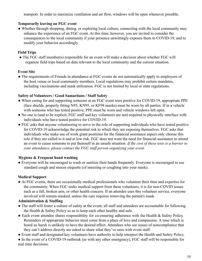transport. In order to maximize ventilation and air flow, windows will be open whenever possible.

#### **Temporarily leaving an FGC event**

• Whether through shopping, dining, or exploring local culture, connecting with the local community may enhance the experience of an FGC event. At this time, however, you are invited to consider the consequences to the local community if your presence unwittingly exposes them to COVID-19, and to modify your behavior accordingly.

#### **Field Trips**

• The FGC staff member(s) responsible for an event will make a decision about whether FGC will organize field trips based on data relevant to the local community and the current situation.

#### **Event Site**

• The requirements of Friends in attendance at FGC events do not automatically apply to employees of the host venue or local community members. Local regulations may prohibit certain mandates, including vaccinations and mask utilization. FGC is not limited by local or state regulations.

#### **Safety of Volunteers / Good Samaritans / Staff Safety**

- When caring for and supporting someone at an FGC event tests positive for COVID-19, appropriate PPE (face shields, properly fitting N95, KN95, or KF94 masks) must be worn by all parties. If in a vehicle with someone who has tested positive, PPE must be worn and vehicle windows left open.
- No one is (and to be explicit, FGC staff and key volunteers are not) required to physically interface with individuals who have tested positive for COVID-19.
- FGC asks that anyone volunteering to serve in the role of supporting individuals who have tested positive for COVID-19 acknowledge the potential risk to which they are exposing themselves. FGC asks that individuals who make use of work grant positions for the financial assistance aspect only choose this role if they are called to it and at low risk. FGC does not want the need for financial assistance to attend an event to cause someone to put themself in an unsafe situation. *If the cost of these tests is a barrier to your attendance, please contact the FGC staff person organizing your event.*

#### **Hygiene & Frequent hand washing**

• Everyone will be encouraged to wash or sanitize their hands frequently. Everyone is encouraged to use standard cough and sneeze etiquette (of sneezing or coughing into your mask).

#### **Medical Support**

● At FGC events, there are occasionally medical professionals who volunteer their time and expertise for the community. When FGC seeks medical support from these volunteers, it is for non-COVID issues such as a fall, broken arm, or other health concern. If an attendee uses this volunteer service, everyone involved will remain masked, unless the care requires removing the patient's mask.

#### **Administration & Staffing**

- The staff will foster a culture of safety at the event; all staff and attendees are accountable for following the Health & Safety Policy so as to keep each other healthy and safe.
- Each event attendee shares responsibility for co-ensuring adherence with the Health & Safety Policy. Reminders of appropriate behavior must come from a place of love and compassion. A tone which is heard as harsh is unlikely to have the desired effect. Attendees who see issues of noncompliance that they can't address directly are asked to share what they've seen with event staff.
- Event staff and designated key volunteers have authority to help interpret the Health and Safety Policy.

● In the event of a COVID-19 outbreak (as with any other emergency), FGC staff will be responsible for real time decisions.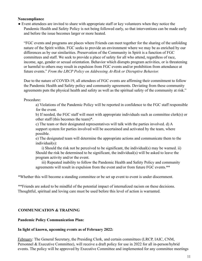#### **Noncompliance**

• Event attendees are invited to share with appropriate staff or key volunteers when they notice the Pandemic Health and Safety Policy is not being followed early, so that interventions can be made early and before the issue becomes larger or more heated.

"FGC events and programs are places where Friends can meet together for the sharing of the unfolding nature of the Spirit within. FGC seeks to provide an environment where we may be as enriched by our differences as by our similarities. Preservation of the Community in Spirit is a function of FGC committees and staff. We seek to provide a place of safety for all who attend, regardless of race, income, age, gender or sexual orientation. Behavior which disrupts program activities, or is threatening or harmful to others may result in expulsion from FGC events and/or prohibition from attendance at future events." *From the LRCP Policy on Addressing At-Risk or Disruptive Behavior.*

Due to the nature of COVID-19, all attendees of FGC events are affirming their commitment to follow the Pandemic Health and Safety policy and community agreements. Deviating from these community agreements puts the physical health and safety as well as the spiritual safety of the community at risk."

Procedure:

a) Violations of the Pandemic Policy will be reported in confidence to the FGC staff responsible for the event.

b) If needed, the FGC staff will meet with appropriate individuals such as committee clerk(s) or other staff (this becomes the team)\*.

c) The team or their designated representatives will talk with the parties involved. d) A support system for parties involved will be ascertained and activated by the team, where possible.

e) The designated team will determine the appropriate actions and communicate them to the individual(s):

i) Should the risk not be perceived to be significant, the individual(s) may be warned. ii) Should the risk be determined to be significant, the individual(s) will be asked to leave the program activity and/or the event.

iii) Repeated inability to follow the Pandemic Health and Safety Policy and community agreements will result in expulsion from the event and/or from future FGC events.\*\*

\*Whether this will become a standing committee or be set up event to event is under discernment.

\*\*Friends are asked to be mindful of the potential impact of internalized racism on these decisions. Thoughtful, spiritual and loving care must be used before this level of action is warranted.

#### **COMMUNICATION & TRAINING**

#### **Pandemic Policy Communication Plan:**

#### **In light of known, upcoming events as of February 2022:**

February: The General Secretary, the Presiding Clerk, and certain committees (LRCP, IAIC, CNM, Personnel & Executive Committee), will receive a draft policy for use in 2022 for all in-person/hybrid events. The policy will be approved by Executive Committee and implemented for any committee meetings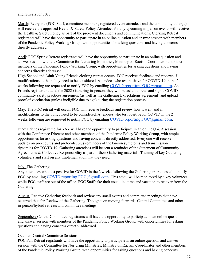and retreats for 2022.

March: Everyone (FGC Staff, committee members, registered event attendees and the community at large) will receive the approved Health & Safety Policy. Attendees for any upcoming in-person events will receive the Health & Safety Policy as part of the pre-event documents and communications. Clerking Retreat registrants will have the opportunity to participate in an online question and answer session with members of the Pandemic Policy Working Group, with opportunities for asking questions and having concerns directly addressed.

April: POC Spring Retreat registrants will have the opportunity to participate in an online question and answer session with the Committee for Nurturing Ministries, Ministry on Racism Coordinator and other members of the Pandemic Policy Working Group, with opportunities for asking questions and having concerns directly addressed.

High School and Adult Young Friends clerking retreat occurs. FGC receives feedback and reviews if modifications to the policy need to be considered. Attendees who test positive for COVID-19 in the 2 weeks following are requested to notify FGC by emailing COVID.reporting.FGC@gmail.com. As Friends register to attend the 2022 Gathering in-person, they will be asked to read and sign a COVID community safety practices agreement (as well as the Gathering Expectations agreement) and upload proof of vaccination (unless ineligible due to age) during the registration process.

May: The POC retreat will occur. FGC will receive feedback and review how it went and if modifications to the policy need to be considered. Attendees who test positive for COVID in the 2 weeks following are requested to notify FGC by emailing COVID.reporting.FGC@gmail.com.

June: Friends registered for YAY will have the opportunity to participate in an online Q & A session with the Conference Director and other members of the Pandemic Policy Working Group, with ample opportunities for asking questions and having concerns directly addressed. Everyone will receive updates on procedures and protocols, plus reminders of the known symptoms and transmission dynamics for COVID-19. Gathering attendees will be sent a reminder of the Statement of Community Agreements & Collective Responsibility as part of their Gathering materials. Training of key Gathering volunteers and staff on any implementation that they need.

#### July: The Gathering.

Any attendees who test positive for COVID in the 2 weeks following the Gathering are requested to notify FGC by emailing COVID.reporting.FGC@gmail.com. This email will be monitored by a key volunteer while FGC staff are out of the office. FGC Staff take their usual lieu time and vacation to recover from the Gathering.

August: Receive Gathering feedback and review any small events and committee meetings that have occurred thus far. Review of the Gathering. Thoughts on moving forward - Central Committee and other in-person/hybrid retreats and committee meetings.

September: Central Committee registrants will have the opportunity to participate in an online question and answer session with members of the Pandemic Policy Working Group, with opportunities for asking questions and having concerns directly addressed.

#### October: Central Committee Sessions

POC Fall Retreat registrants will have the opportunity to participate in an online question and answer session with the Committee for Nurturing Ministries, Ministry on Racism Coordinator and other members of the Pandemic Policy Working Group, with opportunities for asking questions and having concerns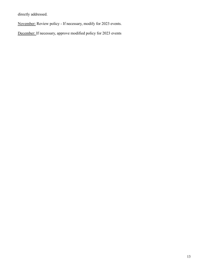directly addressed.

November: Review policy - If necessary, modify for 2023 events.

December: If necessary, approve modified policy for 2023 events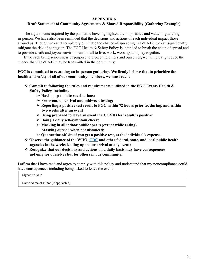#### **APPENDIX A**

#### **Draft Statement of Community Agreements & Shared Responsibility (Gathering Example)**

The adjustments required by the pandemic have highlighted the importance and value of gathering in-person. We have also been reminded that the decisions and actions of each individual impact those around us. Though we can't completely eliminate the chance of spreading COVID-19, we can significantly mitigate the risk of contagion. The FGC Health & Safety Policy is intended to break the chain of spread and to provide a safe and joyous environment for all to live, work, worship, and play together.

If we each bring seriousness of purpose to protecting others and ourselves, we will greatly reduce the chance that COVID-19 may be transmitted in the community.

#### **FGC is committed to resuming an in-person gathering. We firmly believe that to prioritize the health and safety of all of our community members, we must each:**

- ❖ **Commit to following the rules and requirements outlined in the FGC Events Health & Safety Policy, including:**
	- ➢ **Having up-to date vaccinations;**
	- ➢ **Pre-event, on arrival and midweek testing;**
	- ➢ **Reporting a positive test result to FGC within 72 hours prior to, during, and within two weeks after an event**
	- ➢ **Being prepared to leave an event if a COVID test result is positive;**
	- ➢ **Doing a daily self-symptom check;**
	- ➢ **Masking in all indoor public spaces (except while eating). Masking outside when not distanced;**
	- ➢ **Quarantine off-site if you get a positive test, at the individual's expense.**
- ❖ **Observe the guidance of the WHO, CDC and other federal, state, and local public health agencies in the weeks leading up to our arrival at any event;**
- ❖ **Recognize that our decisions and actions on a daily basis may have consequences not only for ourselves but for others in our community.**

I affirm that I have read and agree to comply with this policy and understand that my noncompliance could have consequences including being asked to leave the event.

Signature Date

Name Name of minor (if applicable)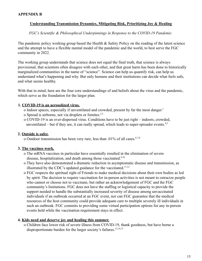#### **APPENDIX B**

#### **Understanding Transmission Dynamics, Mitigating Risk, Prioritizing Joy & Healing**

*FGC's Scientific & Philosophical Underpinnings in Response to the COVID-19 Pandemic*

The pandemic policy working group based the Health & Safety Policy on the reading of the latest science and the attempt to have a flexible mental model of the pandemic and the world, to best serve the FGC community in 2022.

The working group understands that science does not equal the final truth, that science is always provisional, that scientists often disagree with each other, and that great harm has been done to historically marginalized communities in the name of "science". Science can help us quantify risk, can help us understand what's happening and why. But only humans and their institutions can decide what feels safe, and what seems healthy.

With that in mind, here are the four core understandings of and beliefs about the virus and the pandemic, which serve as the foundation for the larger plan.

#### **1. COVID-19 is an aerosolized virus.**

- o Indoor spaces, especially if unventilated and crowded, present by far the most danger. 1
- o Spread is airborne, not via droplets or fomites.2,3
- o COVID-19 is an over-dispersed virus. Conditions have to be just right indoors, crowded, unventilated – but if they are, it can really spread, which leads to super-spreader events. $4,5$

#### **2. Outside is safer.**

o Outdoor transmission has been very rare, less than  $.01\%$  of all cases.<sup>6,7,8</sup>

#### **3. The vaccines work.**

- o The mRNA vaccines in particular have essentially resulted in the elimination of severe disease, hospitalization, and death among those vaccinated.<sup>9,10</sup>
- o They have also demonstrated a dramatic reduction in asymptomatic disease and transmission, as illustrated by the CDC's updated guidance for the vaccinated. $11,12$
- o FGC respects the spiritual right of Friends to make medical decisions about their own bodies as led by spirit. The decision to require vaccination for in-person activities is not meant to ostracize people who cannot or choose not to vaccinate, but rather an acknowledgement of FGC and the FGC community's limitations. FGC does not have the staffing or logistical capacity to provide the support needed to handle the substantially increased severity of disease among unvaccinated individuals if an outbreak occurred at an FGC event, nor can FGC guarantee that the medical resources of the host community could provide adequate care to multiple severely ill individuals in such an outbreak. FGC commits to providing some virtual participation options for any in-person events held while the vaccination requirement stays in effect.

#### **4. Kids need and deserve joy and healing this summer.**

o Children face lower risk of severe illness from COVID-19, thank goodness, but have borne a disproportionate burden for the larger society's failures.<sup>13,14,15</sup>